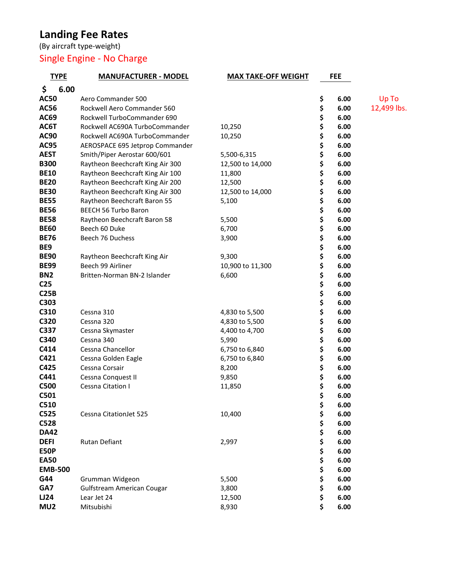## **Landing Fee Rates**

(By aircraft type-weight)

## Single Engine - No Charge

| <b>TYPE</b>     | <b>MANUFACTURER - MODEL</b>       | <b>MAX TAKE-OFF WEIGHT</b> |    | <b>FEE</b> |             |
|-----------------|-----------------------------------|----------------------------|----|------------|-------------|
| \$<br>6.00      |                                   |                            |    |            |             |
| <b>AC50</b>     | Aero Commander 500                |                            | \$ | 6.00       | Up To       |
| <b>AC56</b>     | Rockwell Aero Commander 560       |                            | \$ | 6.00       | 12,499 lbs. |
| <b>AC69</b>     | Rockwell TurboCommander 690       |                            | \$ | 6.00       |             |
| AC6T            | Rockwell AC690A TurboCommander    | 10,250                     | \$ | 6.00       |             |
| <b>AC90</b>     | Rockwell AC690A TurboCommander    | 10,250                     | \$ | 6.00       |             |
| <b>AC95</b>     | AEROSPACE 695 Jetprop Commander   |                            | \$ | 6.00       |             |
| <b>AEST</b>     | Smith/Piper Aerostar 600/601      | 5,500-6,315                | \$ | 6.00       |             |
| <b>B300</b>     | Raytheon Beechcraft King Air 300  | 12,500 to 14,000           | \$ | 6.00       |             |
| <b>BE10</b>     | Raytheon Beechcraft King Air 100  | 11,800                     | \$ | 6.00       |             |
| <b>BE20</b>     | Raytheon Beechcraft King Air 200  | 12,500                     | \$ | 6.00       |             |
| <b>BE30</b>     | Raytheon Beechcraft King Air 300  | 12,500 to 14,000           | \$ | 6.00       |             |
| <b>BE55</b>     | Raytheon Beechcraft Baron 55      | 5,100                      | \$ | 6.00       |             |
| <b>BE56</b>     | <b>BEECH 56 Turbo Baron</b>       |                            | \$ | 6.00       |             |
| <b>BE58</b>     | Raytheon Beechcraft Baron 58      | 5,500                      | \$ | 6.00       |             |
| <b>BE60</b>     | Beech 60 Duke                     | 6,700                      | \$ | 6.00       |             |
| <b>BE76</b>     | Beech 76 Duchess                  | 3,900                      | \$ | 6.00       |             |
| BE9             |                                   |                            | \$ | 6.00       |             |
| <b>BE90</b>     | Raytheon Beechcraft King Air      | 9,300                      | \$ | 6.00       |             |
| <b>BE99</b>     | Beech 99 Airliner                 | 10,900 to 11,300           | \$ | 6.00       |             |
| BN <sub>2</sub> | Britten-Norman BN-2 Islander      | 6,600                      | \$ | 6.00       |             |
| C <sub>25</sub> |                                   |                            | \$ | 6.00       |             |
| C25B            |                                   |                            | \$ | 6.00       |             |
| C303            |                                   |                            | \$ | 6.00       |             |
| C310            | Cessna 310                        | 4,830 to 5,500             | \$ | 6.00       |             |
| C320            | Cessna 320                        | 4,830 to 5,500             | \$ | 6.00       |             |
| C337            | Cessna Skymaster                  | 4,400 to 4,700             | \$ | 6.00       |             |
| C340            | Cessna 340                        | 5,990                      | \$ | 6.00       |             |
| C414            | Cessna Chancellor                 | 6,750 to 6,840             | \$ | 6.00       |             |
| C421            | Cessna Golden Eagle               | 6,750 to 6,840             | \$ | 6.00       |             |
| C425            | Cessna Corsair                    | 8,200                      | \$ | 6.00       |             |
| C441            | Cessna Conquest II                | 9,850                      | \$ | 6.00       |             |
| <b>C500</b>     | Cessna Citation I                 | 11,850                     | \$ | 6.00       |             |
| C501            |                                   |                            | \$ | 6.00       |             |
| C510            |                                   |                            | Ś  | 6.00       |             |
| C525            | <b>Cessna CitationJet 525</b>     | 10,400                     | \$ | 6.00       |             |
| C528            |                                   |                            | \$ | 6.00       |             |
| <b>DA42</b>     |                                   |                            | \$ | 6.00       |             |
| <b>DEFI</b>     | Rutan Defiant                     | 2,997                      | \$ | 6.00       |             |
| <b>E50P</b>     |                                   |                            | \$ | 6.00       |             |
| <b>EA50</b>     |                                   |                            | \$ | 6.00       |             |
| <b>EMB-500</b>  |                                   |                            | \$ | 6.00       |             |
| G44             | Grumman Widgeon                   | 5,500                      | \$ | 6.00       |             |
| GA7             | <b>Gulfstream American Cougar</b> | 3,800                      | \$ | 6.00       |             |
| LJ24            | Lear Jet 24                       | 12,500                     | \$ | 6.00       |             |
| MU <sub>2</sub> | Mitsubishi                        | 8,930                      | \$ | 6.00       |             |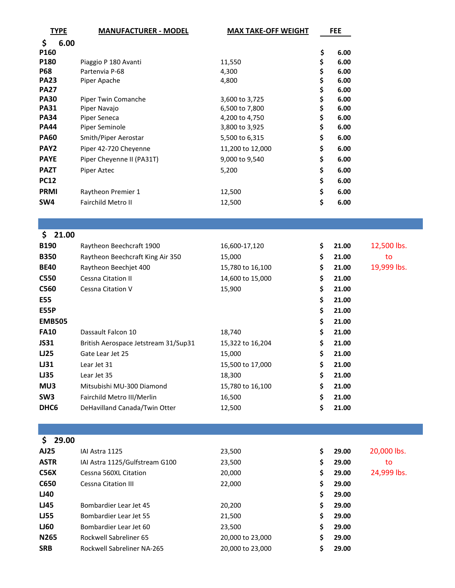| <b>TYPE</b>                | <b>MANUFACTURER - MODEL</b>          | <b>MAX TAKE-OFF WEIGHT</b> |          | <b>FEE</b>   |             |
|----------------------------|--------------------------------------|----------------------------|----------|--------------|-------------|
| 6.00<br>\$                 |                                      |                            |          |              |             |
| P160                       |                                      |                            | \$       | 6.00         |             |
| P180                       | Piaggio P 180 Avanti                 | 11,550                     | \$       | 6.00         |             |
| <b>P68</b>                 | Partenvia P-68                       | 4,300                      | \$       | 6.00         |             |
| <b>PA23</b>                | Piper Apache                         | 4,800                      | \$       | 6.00         |             |
| <b>PA27</b><br><b>PA30</b> | Piper Twin Comanche                  | 3,600 to 3,725             | \$<br>\$ | 6.00<br>6.00 |             |
| <b>PA31</b>                | Piper Navajo                         | 6,500 to 7,800             | \$       | 6.00         |             |
| <b>PA34</b>                | Piper Seneca                         | 4,200 to 4,750             | \$       | 6.00         |             |
| <b>PA44</b>                | Piper Seminole                       | 3,800 to 3,925             | \$       | 6.00         |             |
| <b>PA60</b>                | Smith/Piper Aerostar                 | 5,500 to 6,315             | \$       | 6.00         |             |
| PAY <sub>2</sub>           | Piper 42-720 Cheyenne                | 11,200 to 12,000           | \$       | 6.00         |             |
| <b>PAYE</b>                | Piper Cheyenne II (PA31T)            | 9,000 to 9,540             | \$       | 6.00         |             |
| <b>PAZT</b>                | Piper Aztec                          | 5,200                      | \$       | 6.00         |             |
| <b>PC12</b>                |                                      |                            | \$       | 6.00         |             |
| <b>PRMI</b>                | Raytheon Premier 1                   | 12,500                     | \$       | 6.00         |             |
| SW4                        | Fairchild Metro II                   | 12,500                     | \$       | 6.00         |             |
|                            |                                      |                            |          |              |             |
|                            |                                      |                            |          |              |             |
| \$21.00                    |                                      |                            |          |              |             |
| <b>B190</b>                | Raytheon Beechcraft 1900             | 16,600-17,120              | \$       | 21.00        | 12,500 lbs. |
| <b>B350</b>                | Raytheon Beechcraft King Air 350     | 15,000                     | \$       | 21.00        | to          |
| <b>BE40</b>                | Raytheon Beechjet 400                | 15,780 to 16,100           | \$       | 21.00        | 19,999 lbs. |
| C550                       |                                      |                            |          |              |             |
|                            | Cessna Citation II                   | 14,600 to 15,000           | \$       | 21.00        |             |
| C560                       | Cessna Citation V                    | 15,900                     | \$       | 21.00        |             |
| <b>E55</b>                 |                                      |                            | \$       | 21.00        |             |
| <b>E55P</b>                |                                      |                            | \$       | 21.00        |             |
| <b>EMB505</b>              |                                      |                            | \$       | 21.00        |             |
| <b>FA10</b>                | Dassault Falcon 10                   | 18,740                     | \$       | 21.00        |             |
| <b>JS31</b>                | British Aerospace Jetstream 31/Sup31 | 15,322 to 16,204           | \$       | 21.00        |             |
| LJ25                       | Gate Lear Jet 25                     | 15,000                     | \$       | 21.00        |             |
| LJ31                       | Lear Jet 31                          | 15,500 to 17,000           | \$       | 21.00        |             |
| <b>LJ35</b>                | Lear Jet 35                          | 18,300                     | \$       | 21.00        |             |
| MU3                        | Mitsubishi MU-300 Diamond            | 15,780 to 16,100           | \$       | 21.00        |             |
| SW <sub>3</sub>            | Fairchild Metro III/Merlin           | 16,500                     | \$       | 21.00        |             |
| DHC <sub>6</sub>           | DeHavilland Canada/Twin Otter        | 12,500                     | \$       | 21.00        |             |
|                            |                                      |                            |          |              |             |
|                            |                                      |                            |          |              |             |
| \$<br>29.00                |                                      |                            |          |              |             |
| AJ25                       | IAI Astra 1125                       | 23,500                     | \$       | 29.00        | 20,000 lbs. |
| <b>ASTR</b>                | IAI Astra 1125/Gulfstream G100       | 23,500                     | \$       | 29.00        | to          |
| <b>C56X</b>                | Cessna 560XL Citation                | 20,000                     | \$       | 29.00        | 24,999 lbs. |
| C650                       | Cessna Citation III                  | 22,000                     | \$       | 29.00        |             |
| LJ40                       |                                      |                            | \$       | 29.00        |             |
| LJ45                       | Bombardier Lear Jet 45               | 20,200                     | \$       | 29.00        |             |
| <b>LJ55</b>                | Bombardier Lear Jet 55               | 21,500                     | \$       | 29.00        |             |
| <b>LJ60</b>                | Bombardier Lear Jet 60               | 23,500                     | \$       | 29.00        |             |
| N265                       | Rockwell Sabreliner 65               | 20,000 to 23,000           | \$       | 29.00        |             |
| <b>SRB</b>                 | Rockwell Sabreliner NA-265           | 20,000 to 23,000           | \$       | 29.00        |             |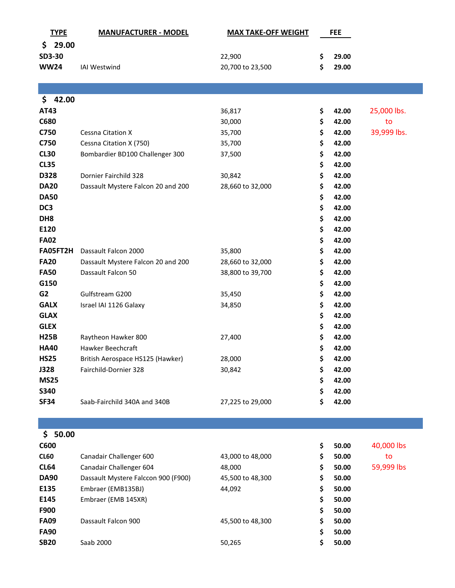| <b>TYPE</b>     | <b>MANUFACTURER - MODEL</b>         | <b>MAX TAKE-OFF WEIGHT</b> | FEE         |             |
|-----------------|-------------------------------------|----------------------------|-------------|-------------|
| \$29.00         |                                     |                            |             |             |
| SD3-30          |                                     | 22,900                     | \$<br>29.00 |             |
| <b>WW24</b>     | <b>IAI Westwind</b>                 | 20,700 to 23,500           | \$<br>29.00 |             |
|                 |                                     |                            |             |             |
|                 |                                     |                            |             |             |
| \$42.00         |                                     |                            |             |             |
| AT43            |                                     | 36,817                     | \$<br>42.00 | 25,000 lbs. |
| C680            |                                     | 30,000                     | \$<br>42.00 | to          |
| C750            | <b>Cessna Citation X</b>            | 35,700                     | \$<br>42.00 | 39,999 lbs. |
| C750            | Cessna Citation X (750)             | 35,700                     | \$<br>42.00 |             |
| <b>CL30</b>     | Bombardier BD100 Challenger 300     | 37,500                     | \$<br>42.00 |             |
| <b>CL35</b>     |                                     |                            | \$<br>42.00 |             |
| D328            | Dornier Fairchild 328               | 30,842                     | \$<br>42.00 |             |
| <b>DA20</b>     | Dassault Mystere Falcon 20 and 200  | 28,660 to 32,000           | \$<br>42.00 |             |
| <b>DA50</b>     |                                     |                            | \$<br>42.00 |             |
| DC3             |                                     |                            | \$<br>42.00 |             |
| DH <sub>8</sub> |                                     |                            | \$<br>42.00 |             |
| E120            |                                     |                            | \$<br>42.00 |             |
| <b>FA02</b>     |                                     |                            | \$<br>42.00 |             |
| FA05FT2H        | Dassault Falcon 2000                | 35,800                     | \$<br>42.00 |             |
| <b>FA20</b>     | Dassault Mystere Falcon 20 and 200  | 28,660 to 32,000           | \$<br>42.00 |             |
| <b>FA50</b>     | Dassault Falcon 50                  | 38,800 to 39,700           | \$<br>42.00 |             |
| G150            |                                     |                            | \$<br>42.00 |             |
| G <sub>2</sub>  | Gulfstream G200                     | 35,450                     | \$<br>42.00 |             |
| <b>GALX</b>     | Israel IAI 1126 Galaxy              | 34,850                     | \$<br>42.00 |             |
| <b>GLAX</b>     |                                     |                            | \$<br>42.00 |             |
| <b>GLEX</b>     |                                     |                            | \$<br>42.00 |             |
| <b>H25B</b>     | Raytheon Hawker 800                 | 27,400                     | \$<br>42.00 |             |
| <b>HA40</b>     | Hawker Beechcraft                   |                            | \$<br>42.00 |             |
| <b>HS25</b>     | British Aerospace HS125 (Hawker)    | 28,000                     | \$<br>42.00 |             |
| <b>J328</b>     | Fairchild-Dornier 328               | 30,842                     | \$<br>42.00 |             |
| <b>MS25</b>     |                                     |                            | \$<br>42.00 |             |
| S340            |                                     |                            | \$<br>42.00 |             |
| <b>SF34</b>     | Saab-Fairchild 340A and 340B        | 27,225 to 29,000           | \$<br>42.00 |             |
|                 |                                     |                            |             |             |
|                 |                                     |                            |             |             |
| \$50.00         |                                     |                            |             |             |
| C600            |                                     |                            | \$<br>50.00 | 40,000 lbs  |
| <b>CL60</b>     | Canadair Challenger 600             | 43,000 to 48,000           | \$<br>50.00 | to          |
| <b>CL64</b>     | Canadair Challenger 604             | 48,000                     | \$<br>50.00 | 59,999 lbs  |
| <b>DA90</b>     | Dassault Mystere Falccon 900 (F900) | 45,500 to 48,300           | \$<br>50.00 |             |
| E135            | Embraer (EMB135BJ)                  | 44,092                     | \$<br>50.00 |             |
| E145            | Embraer (EMB 145XR)                 |                            | \$<br>50.00 |             |
| F900            |                                     |                            | \$<br>50.00 |             |
| <b>FA09</b>     | Dassault Falcon 900                 | 45,500 to 48,300           | \$<br>50.00 |             |
| <b>FA90</b>     |                                     |                            | \$<br>50.00 |             |
| <b>SB20</b>     | Saab 2000                           | 50,265                     | \$<br>50.00 |             |